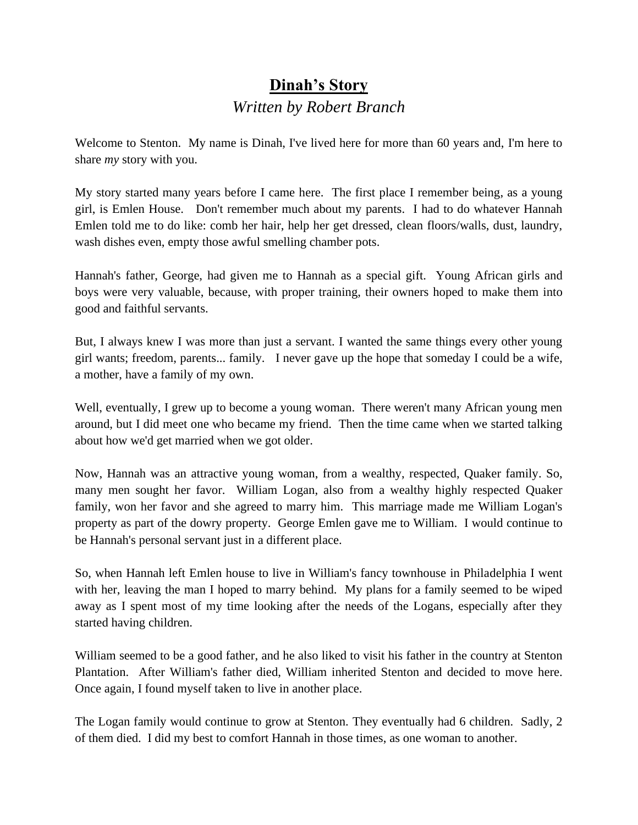## **Dinah's Story** *Written by Robert Branch*

Welcome to Stenton. My name is Dinah, I've lived here for more than 60 years and, I'm here to share *my* story with you.

My story started many years before I came here. The first place I remember being, as a young girl, is Emlen House. Don't remember much about my parents. I had to do whatever Hannah Emlen told me to do like: comb her hair, help her get dressed, clean floors/walls, dust, laundry, wash dishes even, empty those awful smelling chamber pots.

Hannah's father, George, had given me to Hannah as a special gift. Young African girls and boys were very valuable, because, with proper training, their owners hoped to make them into good and faithful servants.

But, I always knew I was more than just a servant. I wanted the same things every other young girl wants; freedom, parents... family. I never gave up the hope that someday I could be a wife, a mother, have a family of my own.

Well, eventually, I grew up to become a young woman. There weren't many African young men around, but I did meet one who became my friend. Then the time came when we started talking about how we'd get married when we got older.

Now, Hannah was an attractive young woman, from a wealthy, respected, Quaker family. So, many men sought her favor. William Logan, also from a wealthy highly respected Quaker family, won her favor and she agreed to marry him. This marriage made me William Logan's property as part of the dowry property. George Emlen gave me to William. I would continue to be Hannah's personal servant just in a different place.

So, when Hannah left Emlen house to live in William's fancy townhouse in Philadelphia I went with her, leaving the man I hoped to marry behind. My plans for a family seemed to be wiped away as I spent most of my time looking after the needs of the Logans, especially after they started having children.

William seemed to be a good father, and he also liked to visit his father in the country at Stenton Plantation. After William's father died, William inherited Stenton and decided to move here. Once again, I found myself taken to live in another place.

The Logan family would continue to grow at Stenton. They eventually had 6 children. Sadly, 2 of them died. I did my best to comfort Hannah in those times, as one woman to another.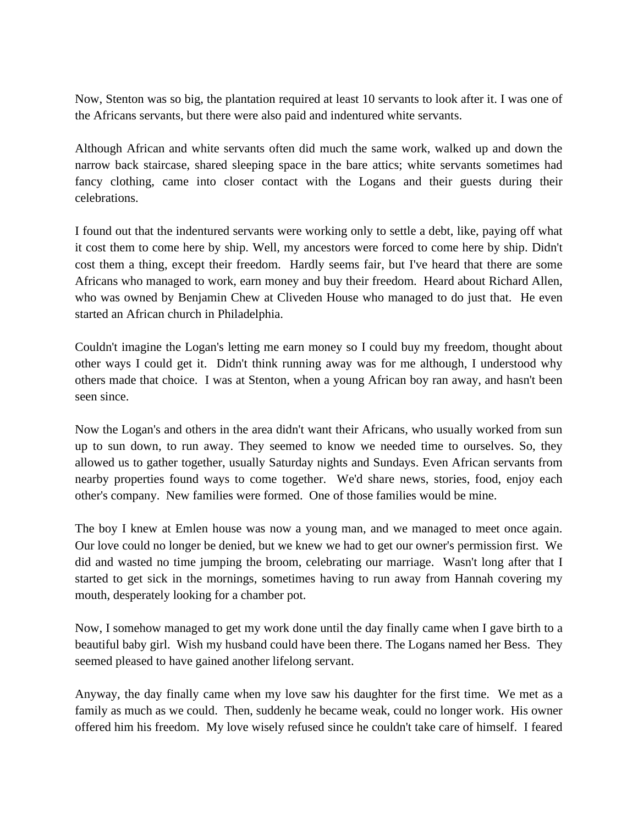Now, Stenton was so big, the plantation required at least 10 servants to look after it. I was one of the Africans servants, but there were also paid and indentured white servants.

Although African and white servants often did much the same work, walked up and down the narrow back staircase, shared sleeping space in the bare attics; white servants sometimes had fancy clothing, came into closer contact with the Logans and their guests during their celebrations.

I found out that the indentured servants were working only to settle a debt, like, paying off what it cost them to come here by ship. Well, my ancestors were forced to come here by ship. Didn't cost them a thing, except their freedom. Hardly seems fair, but I've heard that there are some Africans who managed to work, earn money and buy their freedom. Heard about Richard Allen, who was owned by Benjamin Chew at Cliveden House who managed to do just that. He even started an African church in Philadelphia.

Couldn't imagine the Logan's letting me earn money so I could buy my freedom, thought about other ways I could get it. Didn't think running away was for me although, I understood why others made that choice. I was at Stenton, when a young African boy ran away, and hasn't been seen since.

Now the Logan's and others in the area didn't want their Africans, who usually worked from sun up to sun down, to run away. They seemed to know we needed time to ourselves. So, they allowed us to gather together, usually Saturday nights and Sundays. Even African servants from nearby properties found ways to come together. We'd share news, stories, food, enjoy each other's company. New families were formed. One of those families would be mine.

The boy I knew at Emlen house was now a young man, and we managed to meet once again. Our love could no longer be denied, but we knew we had to get our owner's permission first. We did and wasted no time jumping the broom, celebrating our marriage. Wasn't long after that I started to get sick in the mornings, sometimes having to run away from Hannah covering my mouth, desperately looking for a chamber pot.

Now, I somehow managed to get my work done until the day finally came when I gave birth to a beautiful baby girl. Wish my husband could have been there. The Logans named her Bess. They seemed pleased to have gained another lifelong servant.

Anyway, the day finally came when my love saw his daughter for the first time. We met as a family as much as we could. Then, suddenly he became weak, could no longer work. His owner offered him his freedom. My love wisely refused since he couldn't take care of himself. I feared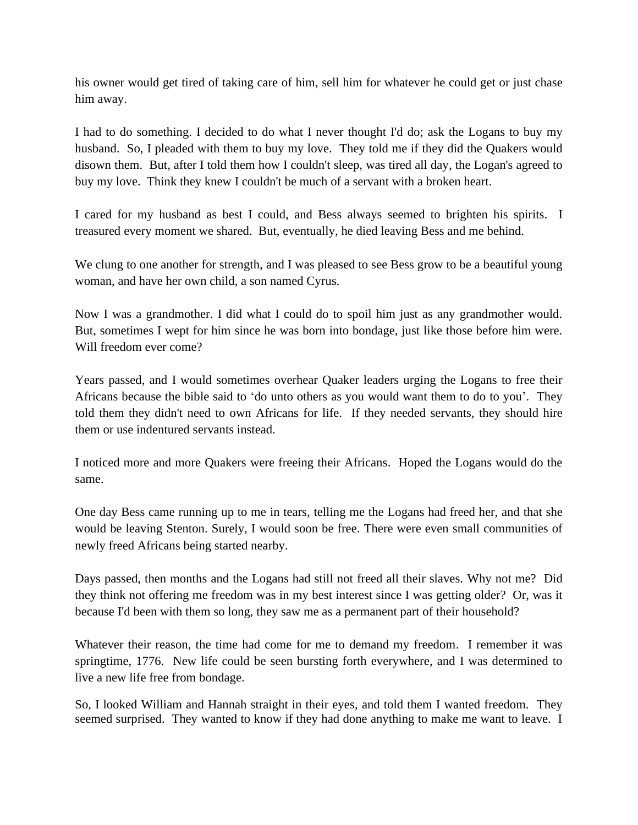his owner would get tired of taking care of him, sell him for whatever he could get or just chase him away.

I had to do something. I decided to do what I never thought I'd do; ask the Logans to buy my husband. So, I pleaded with them to buy my love. They told me if they did the Quakers would disown them. But, after I told them how I couldn't sleep, was tired all day, the Logan's agreed to buy my love. Think they knew I couldn't be much of a servant with a broken heart.

I cared for my husband as best I could, and Bess always seemed to brighten his spirits. I treasured every moment we shared. But, eventually, he died leaving Bess and me behind.

We clung to one another for strength, and I was pleased to see Bess grow to be a beautiful young woman, and have her own child, a son named Cyrus.

Now I was a grandmother. I did what I could do to spoil him just as any grandmother would. But, sometimes I wept for him since he was born into bondage, just like those before him were. Will freedom ever come?

Years passed, and I would sometimes overhear Quaker leaders urging the Logans to free their Africans because the bible said to 'do unto others as you would want them to do to you'. They told them they didn't need to own Africans for life. If they needed servants, they should hire them or use indentured servants instead.

I noticed more and more Quakers were freeing their Africans. Hoped the Logans would do the same.

One day Bess came running up to me in tears, telling me the Logans had freed her, and that she would be leaving Stenton. Surely, I would soon be free. There were even small communities of newly freed Africans being started nearby.

Days passed, then months and the Logans had still not freed all their slaves. Why not me? Did they think not offering me freedom was in my best interest since I was getting older? Or, was it because I'd been with them so long, they saw me as a permanent part of their household?

Whatever their reason, the time had come for me to demand my freedom. I remember it was springtime, 1776. New life could be seen bursting forth everywhere, and I was determined to live a new life free from bondage.

So, I looked William and Hannah straight in their eyes, and told them I wanted freedom. They seemed surprised. They wanted to know if they had done anything to make me want to leave. I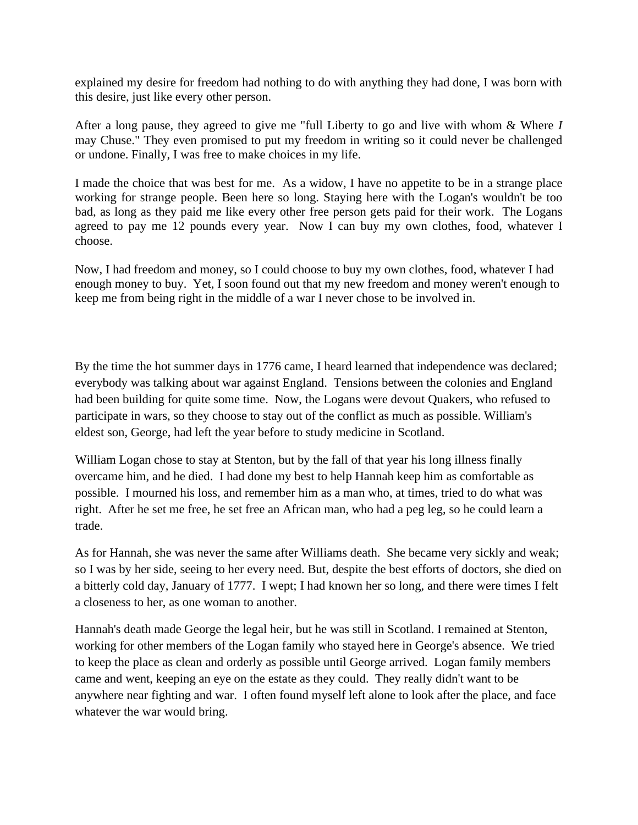explained my desire for freedom had nothing to do with anything they had done, I was born with this desire, just like every other person.

After a long pause, they agreed to give me "full Liberty to go and live with whom & Where *I* may Chuse." They even promised to put my freedom in writing so it could never be challenged or undone. Finally, I was free to make choices in my life.

I made the choice that was best for me. As a widow, I have no appetite to be in a strange place working for strange people. Been here so long. Staying here with the Logan's wouldn't be too bad, as long as they paid me like every other free person gets paid for their work. The Logans agreed to pay me 12 pounds every year. Now I can buy my own clothes, food, whatever I choose.

Now, I had freedom and money, so I could choose to buy my own clothes, food, whatever I had enough money to buy. Yet, I soon found out that my new freedom and money weren't enough to keep me from being right in the middle of a war I never chose to be involved in.

By the time the hot summer days in 1776 came, I heard learned that independence was declared; everybody was talking about war against England. Tensions between the colonies and England had been building for quite some time. Now, the Logans were devout Quakers, who refused to participate in wars, so they choose to stay out of the conflict as much as possible. William's eldest son, George, had left the year before to study medicine in Scotland.

William Logan chose to stay at Stenton, but by the fall of that year his long illness finally overcame him, and he died. I had done my best to help Hannah keep him as comfortable as possible. I mourned his loss, and remember him as a man who, at times, tried to do what was right. After he set me free, he set free an African man, who had a peg leg, so he could learn a trade.

As for Hannah, she was never the same after Williams death. She became very sickly and weak; so I was by her side, seeing to her every need. But, despite the best efforts of doctors, she died on a bitterly cold day, January of 1777. I wept; I had known her so long, and there were times I felt a closeness to her, as one woman to another.

Hannah's death made George the legal heir, but he was still in Scotland. I remained at Stenton, working for other members of the Logan family who stayed here in George's absence. We tried to keep the place as clean and orderly as possible until George arrived. Logan family members came and went, keeping an eye on the estate as they could. They really didn't want to be anywhere near fighting and war. I often found myself left alone to look after the place, and face whatever the war would bring.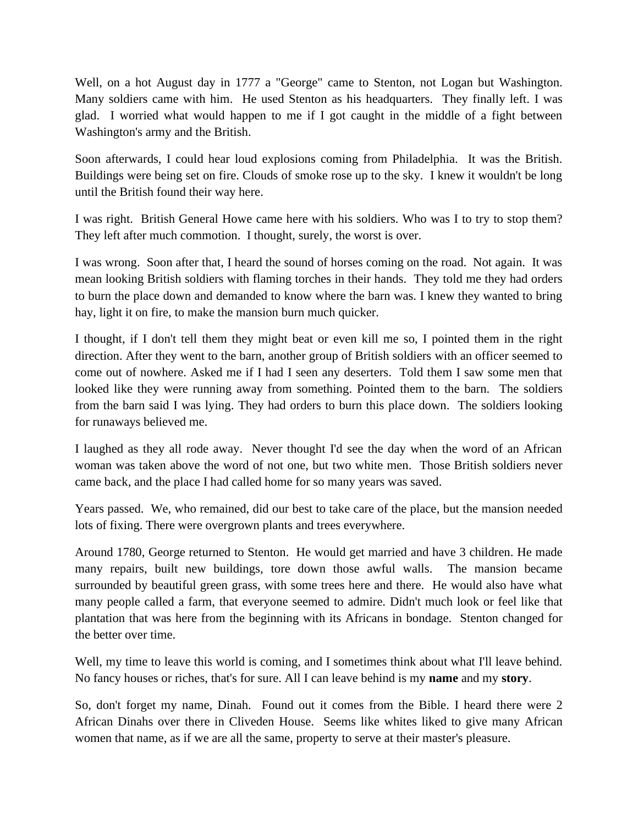Well, on a hot August day in 1777 a "George" came to Stenton, not Logan but Washington. Many soldiers came with him. He used Stenton as his headquarters. They finally left. I was glad. I worried what would happen to me if I got caught in the middle of a fight between Washington's army and the British.

Soon afterwards, I could hear loud explosions coming from Philadelphia. It was the British. Buildings were being set on fire. Clouds of smoke rose up to the sky. I knew it wouldn't be long until the British found their way here.

I was right. British General Howe came here with his soldiers. Who was I to try to stop them? They left after much commotion. I thought, surely, the worst is over.

I was wrong. Soon after that, I heard the sound of horses coming on the road. Not again. It was mean looking British soldiers with flaming torches in their hands. They told me they had orders to burn the place down and demanded to know where the barn was. I knew they wanted to bring hay, light it on fire, to make the mansion burn much quicker.

I thought, if I don't tell them they might beat or even kill me so, I pointed them in the right direction. After they went to the barn, another group of British soldiers with an officer seemed to come out of nowhere. Asked me if I had I seen any deserters. Told them I saw some men that looked like they were running away from something. Pointed them to the barn. The soldiers from the barn said I was lying. They had orders to burn this place down. The soldiers looking for runaways believed me.

I laughed as they all rode away. Never thought I'd see the day when the word of an African woman was taken above the word of not one, but two white men. Those British soldiers never came back, and the place I had called home for so many years was saved.

Years passed. We, who remained, did our best to take care of the place, but the mansion needed lots of fixing. There were overgrown plants and trees everywhere.

Around 1780, George returned to Stenton. He would get married and have 3 children. He made many repairs, built new buildings, tore down those awful walls. The mansion became surrounded by beautiful green grass, with some trees here and there. He would also have what many people called a farm, that everyone seemed to admire. Didn't much look or feel like that plantation that was here from the beginning with its Africans in bondage. Stenton changed for the better over time.

Well, my time to leave this world is coming, and I sometimes think about what I'll leave behind. No fancy houses or riches, that's for sure. All I can leave behind is my **name** and my **story**.

So, don't forget my name, Dinah. Found out it comes from the Bible. I heard there were 2 African Dinahs over there in Cliveden House. Seems like whites liked to give many African women that name, as if we are all the same, property to serve at their master's pleasure.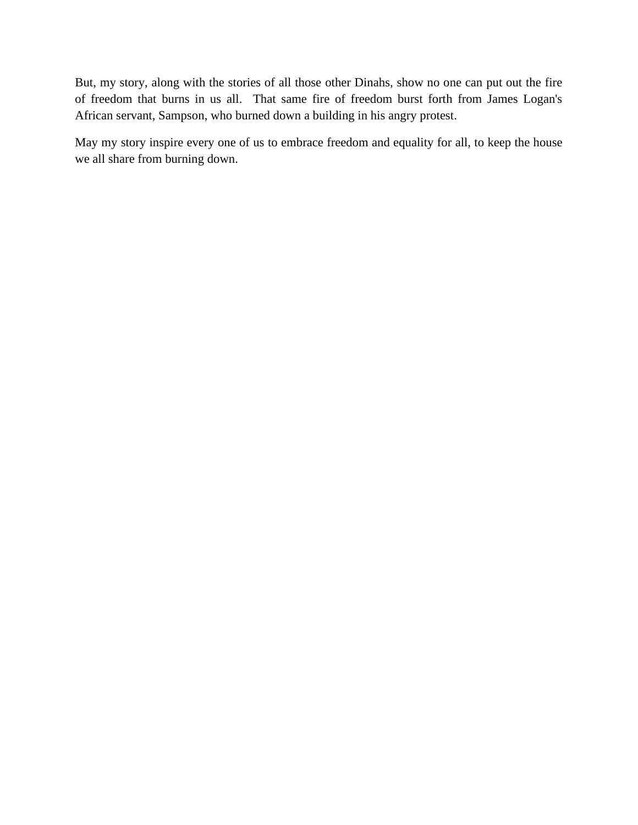But, my story, along with the stories of all those other Dinahs, show no one can put out the fire of freedom that burns in us all. That same fire of freedom burst forth from James Logan's African servant, Sampson, who burned down a building in his angry protest.

May my story inspire every one of us to embrace freedom and equality for all, to keep the house we all share from burning down.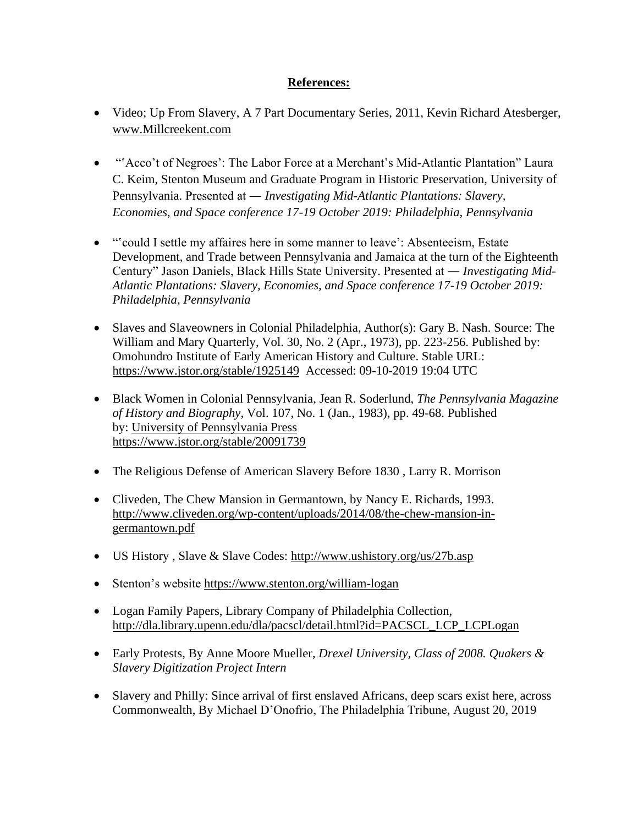## **References:**

- Video; Up From Slavery, A 7 Part Documentary Series, 2011, Kevin Richard Atesberger, [www.Millcreekent.com](http://www.millcreekent.com/)
- "Acco't of Negroes': The Labor Force at a Merchant's Mid-Atlantic Plantation" Laura C. Keim, Stenton Museum and Graduate Program in Historic Preservation, University of Pennsylvania. Presented at ― *Investigating Mid-Atlantic Plantations: Slavery, Economies, and Space conference 17-19 October 2019: Philadelphia, Pennsylvania*
- "'could I settle my affaires here in some manner to leave': Absenteeism, Estate Development, and Trade between Pennsylvania and Jamaica at the turn of the Eighteenth Century" Jason Daniels, Black Hills State University. Presented at ― *Investigating Mid-Atlantic Plantations: Slavery, Economies, and Space conference 17-19 October 2019: Philadelphia, Pennsylvania*
- Slaves and Slaveowners in Colonial Philadelphia, Author(s): Gary B. Nash. Source: The William and Mary Quarterly, Vol. 30, No. 2 (Apr., 1973), pp. 223-256. Published by: Omohundro Institute of Early American History and Culture. Stable URL: <https://www.jstor.org/stable/1925149>Accessed: 09-10-2019 19:04 UTC
- Black Women in Colonial Pennsylvania, Jean R. Soderlund, *The Pennsylvania Magazine of History and Biography,* Vol. 107, No. 1 (Jan., 1983), pp. 49-68. Published by: [University of Pennsylvania Press](https://www.jstor.org/publisher/upenn) <https://www.jstor.org/stable/20091739>
- The Religious Defense of American Slavery Before 1830, Larry R. Morrison
- Cliveden, The Chew Mansion in Germantown, by Nancy E. Richards, 1993. [http://www.cliveden.org/wp-content/uploads/2014/08/the-chew-mansion-in](http://www.cliveden.org/wp-content/uploads/2014/08/the-chew-mansion-in-germantown.pdf)[germantown.pdf](http://www.cliveden.org/wp-content/uploads/2014/08/the-chew-mansion-in-germantown.pdf)
- US History, Slave & Slave Codes:<http://www.ushistory.org/us/27b.asp>
- Stenton's website<https://www.stenton.org/william-logan>
- Logan Family Papers, Library Company of Philadelphia Collection, [http://dla.library.upenn.edu/dla/pacscl/detail.html?id=PACSCL\\_LCP\\_LCPLogan](http://dla.library.upenn.edu/dla/pacscl/detail.html?id=PACSCL_LCP_LCPLogan)
- Early Protests, By Anne Moore Mueller, *Drexel University, Class of 2008. Quakers & Slavery Digitization Project Intern*
- Slavery and Philly: Since arrival of first enslaved Africans, deep scars exist here, across Commonwealth, By Michael D'Onofrio, The Philadelphia Tribune, August 20, 2019